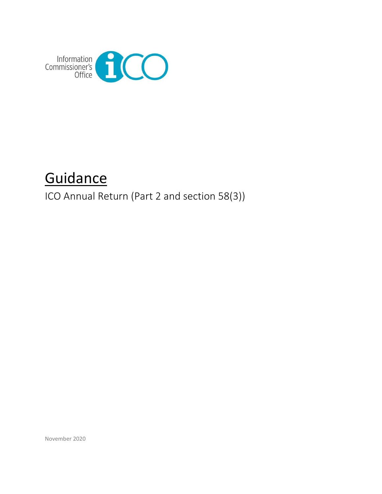

# **Guidance**

ICO Annual Return (Part 2 and section 58(3))

November 2020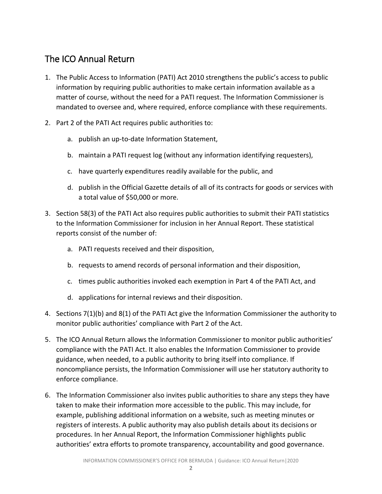# The ICO Annual Return

- 1. The Public Access to Information (PATI) Act 2010 strengthens the public's access to public information by requiring public authorities to make certain information available as a matter of course, without the need for a PATI request. The Information Commissioner is mandated to oversee and, where required, enforce compliance with these requirements.
- 2. Part 2 of the PATI Act requires public authorities to:
	- a. publish an up-to-date Information Statement,
	- b. maintain a PATI request log (without any information identifying requesters),
	- c. have quarterly expenditures readily available for the public, and
	- d. publish in the Official Gazette details of all of its contracts for goods or services with a total value of \$50,000 or more.
- 3. Section 58(3) of the PATI Act also requires public authorities to submit their PATI statistics to the Information Commissioner for inclusion in her Annual Report. These statistical reports consist of the number of:
	- a. PATI requests received and their disposition,
	- b. requests to amend records of personal information and their disposition,
	- c. times public authorities invoked each exemption in Part 4 of the PATI Act, and
	- d. applications for internal reviews and their disposition.
- 4. Sections 7(1)(b) and 8(1) of the PATI Act give the Information Commissioner the authority to monitor public authorities' compliance with Part 2 of the Act.
- 5. The ICO Annual Return allows the Information Commissioner to monitor public authorities' compliance with the PATI Act. It also enables the Information Commissioner to provide guidance, when needed, to a public authority to bring itself into compliance. If noncompliance persists, the Information Commissioner will use her statutory authority to enforce compliance.
- 6. The Information Commissioner also invites public authorities to share any steps they have taken to make their information more accessible to the public. This may include, for example, publishing additional information on a website, such as meeting minutes or registers of interests. A public authority may also publish details about its decisions or procedures. In her Annual Report, the Information Commissioner highlights public authorities' extra efforts to promote transparency, accountability and good governance.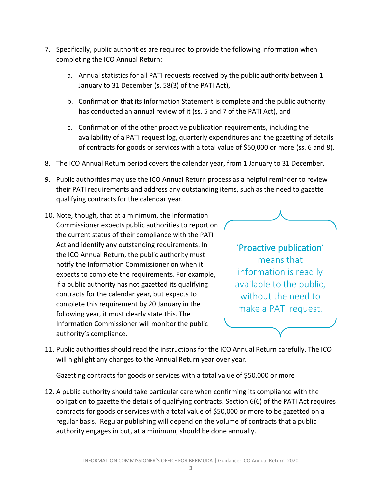- 7. Specifically, public authorities are required to provide the following information when completing the ICO Annual Return:
	- a. Annual statistics for all PATI requests received by the public authority between 1 January to 31 December (s. 58(3) of the PATI Act),
	- b. Confirmation that its Information Statement is complete and the public authority has conducted an annual review of it (ss. 5 and 7 of the PATI Act), and
	- c. Confirmation of the other proactive publication requirements, including the availability of a PATI request log, quarterly expenditures and the gazetting of details of contracts for goods or services with a total value of \$50,000 or more (ss. 6 and 8).
- 8. The ICO Annual Return period covers the calendar year, from 1 January to 31 December.
- 9. Public authorities may use the ICO Annual Return process as a helpful reminder to review their PATI requirements and address any outstanding items, such as the need to gazette qualifying contracts for the calendar year.
- 10. Note, though, that at a minimum, the Information Commissioner expects public authorities to report on the current status of their compliance with the PATI Act and identify any outstanding requirements. In the ICO Annual Return, the public authority must notify the Information Commissioner on when it expects to complete the requirements. For example, if a public authority has not gazetted its qualifying contracts for the calendar year, but expects to complete this requirement by 20 January in the following year, it must clearly state this. The Information Commissioner will monitor the public authority's compliance.



'Proactive publication' means that information is readily available to the public, without the need to make a PATI request.

11. Public authorities should read the instructions for the ICO Annual Return carefully. The ICO will highlight any changes to the Annual Return year over year.

#### Gazetting contracts for goods or services with a total value of \$50,000 or more

12. A public authority should take particular care when confirming its compliance with the obligation to gazette the details of qualifying contracts. Section 6(6) of the PATI Act requires contracts for goods or services with a total value of \$50,000 or more to be gazetted on a regular basis. Regular publishing will depend on the volume of contracts that a public authority engages in but, at a minimum, should be done annually.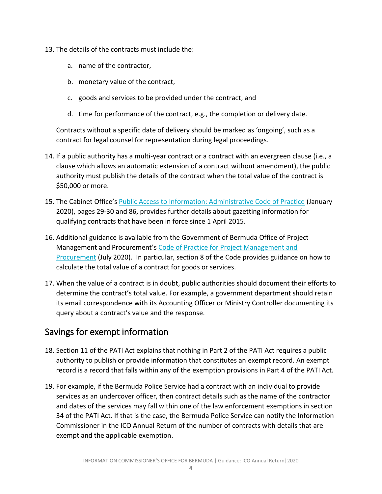- 13. The details of the contracts must include the:
	- a. name of the contractor,
	- b. monetary value of the contract,
	- c. goods and services to be provided under the contract, and
	- d. time for performance of the contract, e.g., the completion or delivery date.

Contracts without a specific date of delivery should be marked as 'ongoing', such as a contract for legal counsel for representation during legal proceedings.

- 14. If a public authority has a multi-year contract or a contract with an evergreen clause (i.e., a clause which allows an automatic extension of a contract without amendment), the public authority must publish the details of the contract when the total value of the contract is \$50,000 or more.
- 15. The Cabinet Office's [Public Access to Information: Administrative Code of Practice](https://www.gov.bm/sites/default/files/PATI-Administrative-Code-of-Practice.pdf) (January 2020), pages 29-30 and 86, provides further details about gazetting information for qualifying contracts that have been in force since 1 April 2015.
- 16. Additional guidance is available from the Government of Bermuda Office of Project Management and Procurement's [Code of Practice for Project Management and](https://www.gov.bm/sites/default/files/CODE-OF-PRACTICE-Amended-2nd-Edition-Final--July-27-2020-2.1.pdf)  [Procurement](https://www.gov.bm/sites/default/files/CODE-OF-PRACTICE-Amended-2nd-Edition-Final--July-27-2020-2.1.pdf) (July 2020). In particular, section 8 of the Code provides guidance on how to calculate the total value of a contract for goods or services.
- 17. When the value of a contract is in doubt, public authorities should document their efforts to determine the contract's total value. For example, a government department should retain its email correspondence with its Accounting Officer or Ministry Controller documenting its query about a contract's value and the response.

#### Savings for exempt information

- 18. Section 11 of the PATI Act explains that nothing in Part 2 of the PATI Act requires a public authority to publish or provide information that constitutes an exempt record. An exempt record is a record that falls within any of the exemption provisions in Part 4 of the PATI Act.
- 19. For example, if the Bermuda Police Service had a contract with an individual to provide services as an undercover officer, then contract details such as the name of the contractor and dates of the services may fall within one of the law enforcement exemptions in section 34 of the PATI Act. If that is the case, the Bermuda Police Service can notify the Information Commissioner in the ICO Annual Return of the number of contracts with details that are exempt and the applicable exemption.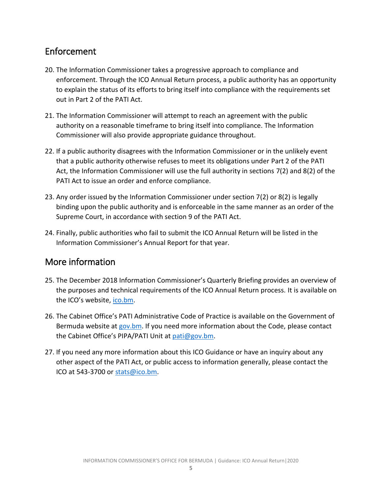# Enforcement

- 20. The Information Commissioner takes a progressive approach to compliance and enforcement. Through the ICO Annual Return process, a public authority has an opportunity to explain the status of its efforts to bring itself into compliance with the requirements set out in Part 2 of the PATI Act.
- 21. The Information Commissioner will attempt to reach an agreement with the public authority on a reasonable timeframe to bring itself into compliance. The Information Commissioner will also provide appropriate guidance throughout.
- 22. If a public authority disagrees with the Information Commissioner or in the unlikely event that a public authority otherwise refuses to meet its obligations under Part 2 of the PATI Act, the Information Commissioner will use the full authority in sections 7(2) and 8(2) of the PATI Act to issue an order and enforce compliance.
- 23. Any order issued by the Information Commissioner under section 7(2) or 8(2) is legally binding upon the public authority and is enforceable in the same manner as an order of the Supreme Court, in accordance with section 9 of the PATI Act.
- 24. Finally, public authorities who fail to submit the ICO Annual Return will be listed in the Information Commissioner's Annual Report for that year.

# More information

- 25. The December 2018 Information Commissioner's Quarterly Briefing provides an overview of the purposes and technical requirements of the ICO Annual Return process. It is available on the ICO's website, *[ico.bm.](http://www.ico.bm/)*
- 26. The Cabinet Office's PATI Administrative Code of Practice is available on the Government of Bermuda website at [gov.bm.](https://www.gov.bm/sites/default/files/PATI-Administrative-Code-of-Practice.pdf) If you need more information about the Code, please contact the Cabinet Office's PIPA/PATI Unit at [pati@gov.bm.](mailto:pati@gov.bm)
- 27. If you need any more information about this ICO Guidance or have an inquiry about any other aspect of the PATI Act, or public access to information generally, please contact the ICO at 543-3700 o[r stats@ico.bm.](mailto:stats@ico.bm)